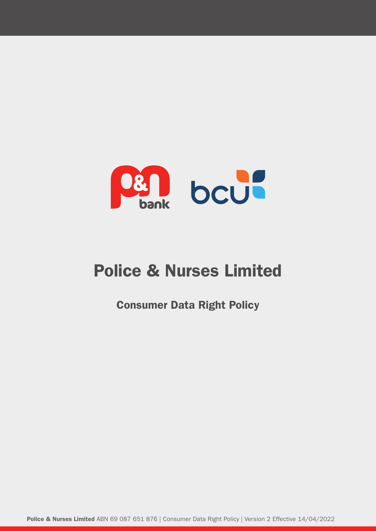

# Police & Nurses Limited

Consumer Data Right Policy

Police & Nurses Limited ABN 69 087 651 876 | Consumer Data Right Policy | Version 2 Effective 14/04/2022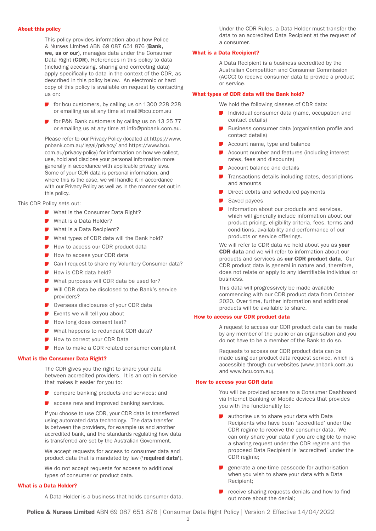#### About this policy

 This policy provides information about how Police & Nurses Limited ABN 69 087 651 876 (Bank, we, us or our), manages data under the Consumer Data Right (CDR). References in this policy to data (including accessing, sharing and correcting data) apply specifically to data in the context of the CDR, as described in this policy below. An electronic or hard copy of this policy is available on request by contacting us on:

- for bcu customers, by calling us on 1300 228 228 or emailing us at any time at mail@bcu.com.au
- **F** for P&N Bank customers by calling us on 13 25 77 or emailing us at any time at info@pnbank.com.au.

 Please refer to our Privacy Policy (located at https://www. pnbank.com.au/legal/privacy/ and https://www.bcu. com.au/privacy-policy) for information on how we collect, use, hold and disclose your personal information more generally in accordance with applicable privacy laws. Some of your CDR data is personal information, and where this is the case, we will handle it in accordance with our Privacy Policy as well as in the manner set out in this policy.

This CDR Policy sets out:

- What is the Consumer Data Right?
- What is a Data Holder?
- What is a Data Recipient?
- What types of CDR data will the Bank hold?
- How to access our CDR product data
- How to access your CDR data
- Can I request to share my Voluntery Consumer data?
- How is CDR data held?
- What purposes will CDR data be used for?
- Will CDR data be disclosed to the Bank's service providers?
- Overseas disclosures of your CDR data
- $\blacksquare$  Events we will tell you about
- How long does consent last?
- What happens to redundant CDR data?
- How to correct your CDR Data
- How to make a CDR related consumer complaint

#### What is the Consumer Data Right?

 The CDR gives you the right to share your data between accredited providers. It is an opt-in service that makes it easier for you to:

- **D** compare banking products and services; and
- **D** access new and improved banking services.

 If you choose to use CDR, your CDR data is transferred using automated data technology. The data transfer is between the providers, for example us and another accredited bank, and the standards regulating how data is transferred are set by the Australian Government.

 We accept requests for access to consumer data and product data that is mandated by law ('required data').

 We do not accept requests for access to additional types of consumer or product data.

#### What is a Data Holder?

A Data Holder is a business that holds consumer data.

Under the CDR Rules, a Data Holder must transfer the data to an accredited Data Recipient at the request of a consumer.

#### What is a Data Recipient?

 A Data Recipient is a business accredited by the Australian Competition and Consumer Commission (ACCC) to receive consumer data to provide a product or service.

#### What types of CDR data will the Bank hold?

We hold the following classes of CDR data:

- Individual consumer data (name, occupation and contact details)
- Business consumer data (organisation profile and contact details)
- Account name, type and balance
- Account number and features (including interest rates, fees and discounts)
- Account balance and details
- Transactions details including dates, descriptions and amounts
- Direct debits and scheduled payments
- Saved payees
- Information about our products and services, which will generally include information about our product pricing, eligibility criteria, fees, terms and conditions, availability and performance of our products or service offerings.

We will refer to CDR data we hold about you as your CDR data and we will refer to information about our products and services as our CDR product data. Our CDR product data is general in nature and, therefore, does not relate or apply to any identifiable individual or business.

 This data will progressively be made available commencing with our CDR product data from October 2020. Over time, further information and additional products will be available to share.

#### How to access our CDR product data

 A request to access our CDR product data can be made by any member of the public or an organisation and you do not have to be a member of the Bank to do so.

 Requests to access our CDR product data can be made using our product data request service, which is accessible through our websites (www.pnbank.com.au and www.bcu.com.au).

#### How to access your CDR data

 You will be provided access to a Consumer Dashboard via Internet Banking or Mobile devices that provides you with the functionality to:

- authorise us to share your data with Data Recipients who have been 'accredited' under the CDR regime to receive the consumer data. We can only share your data if you are eligible to make a sharing request under the CDR regime and the proposed Data Recipient is 'accredited' under the CDR regime;
- generate a one-time passcode for authorisation when you wish to share your data with a Data Recipient;
- receive sharing requests denials and how to find out more about the denial;

Police & Nurses Limited ABN 69 087 651 876 | Consumer Data Right Policy | Version 2 Effective 14/04/2022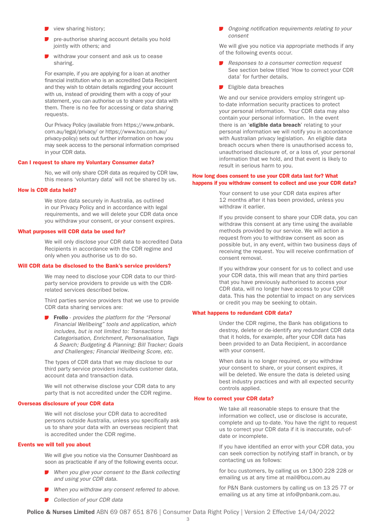- $\blacktriangleright$  view sharing history;
- pre-authorise sharing account details you hold jointly with others; and
- withdraw your consent and ask us to cease sharing.

 For example, if you are applying for a loan at another financial institution who is an accredited Data Recipient and they wish to obtain details regarding your account with us, instead of providing them with a copy of your statement, you can authorise us to share your data with them. There is no fee for accessing or data sharing requests.

 Our Privacy Policy (available from https://www.pnbank. com.au/legal/privacy/ or https://www.bcu.com.au/ privacy-policy) sets out further information on how you may seek access to the personal information comprised in your CDR data.

#### Can I request to share my Voluntary Consumer data?

 No, we will only share CDR data as required by CDR law, this means 'voluntary data' will not be shared by us.

#### How is CDR data held?

 We store data securely in Australia, as outlined in our Privacy Policy and in accordance with legal requirements, and we will delete your CDR data once you withdraw your consent, or your consent expires.

#### What purposes will CDR data be used for?

 We will only disclose your CDR data to accredited Data Recipients in accordance with the CDR regime and only when you authorise us to do so.

#### Will CDR data be disclosed to the Bank's service providers?

 We may need to disclose your CDR data to our thirdparty service providers to provide us with the CDRrelated services described below.

 Third parties service providers that we use to provide CDR data sharing services are:

 Frollo - *provides the platform for the "Personal Financial Wellbeing" tools and application, which includes, but is not limited to: Transactions Categorisation, Enrichment, Personalisation, Tags & Search; Budgeting & Planning; Bill Tracker; Goals and Challenges; Financial Wellbeing Score, etc.*

 The types of CDR data that we may disclose to our third party service providers includes customer data, account data and transaction data.

 We will not otherwise disclose your CDR data to any party that is not accredited under the CDR regime.

#### Overseas disclosure of your CDR data

 We will not disclose your CDR data to accredited persons outside Australia, unless you specifically ask us to share your data with an overseas recipient that is accredited under the CDR regime.

#### Events we will tell you about

 We will give you notice via the Consumer Dashboard as soon as practicable if any of the following events occur.

- *When you give your consent to the Bank collecting and using your CDR data.*
- *When you withdraw any consent referred to above*.
- *Collection of your CDR data*

 *Ongoing notification requirements relating to your consent*

We will give you notice via appropriate methods if any of the following events occur.

- *Responses to a consumer correction request* See section below titled 'How to correct your CDR data' for further details.
- $\blacksquare$  Eligible data breaches

We and our service providers employ stringent upto-date information security practices to protect your personal information. Your CDR data may also contain your personal information. In the event there is an 'eligible data breach' relating to your personal information we will notify you in accordance with Australian privacy legislation. An eligible data breach occurs when there is unauthorised access to, unauthorised disclosure of, or a loss of, your personal information that we hold, and that event is likely to result in serious harm to you.

#### How long does consent to use your CDR data last for? What happens if you withdraw consent to collect and use your CDR data?

 Your consent to use your CDR data expires after 12 months after it has been provided, unless you withdraw it earlier.

 If you provide consent to share your CDR data, you can withdraw this consent at any time using the available methods provided by our service. We will action a request from you to withdraw consent as soon as possible but, in any event, within two business days of receiving the request. You will receive confirmation of consent removal.

 If you withdraw your consent for us to collect and use your CDR data, this will mean that any third parties that you have previously authorised to access your CDR data, will no longer have access to your CDR data. This has the potential to impact on any services or credit you may be seeking to obtain.

#### What happens to redundant CDR data?

 Under the CDR regime, the Bank has obligations to destroy, delete or de-identify any redundant CDR data that it holds, for example, after your CDR data has been provided to an Data Recipient, in accordance with your consent.

 When data is no longer required, or you withdraw your consent to share, or your consent expires, it will be deleted. We ensure the data is deleted using best industry practices and with all expected security controls applied.

#### How to correct your CDR data?

 We take all reasonable steps to ensure that the information we collect, use or disclose is accurate, complete and up to-date. You have the right to request us to correct your CDR data if it is inaccurate, out-ofdate or incomplete.

 If you have identified an error with your CDR data, you can seek correction by notifying staff in branch, or by contacting us as follows:

 for bcu customers, by calling us on 1300 228 228 or emailing us at any time at mail@bcu.com.au

 for P&N Bank customers by calling us on 13 25 77 or emailing us at any time at info@pnbank.com.au.

Police & Nurses Limited ABN 69 087 651 876 | Consumer Data Right Policy | Version 2 Effective 14/04/2022